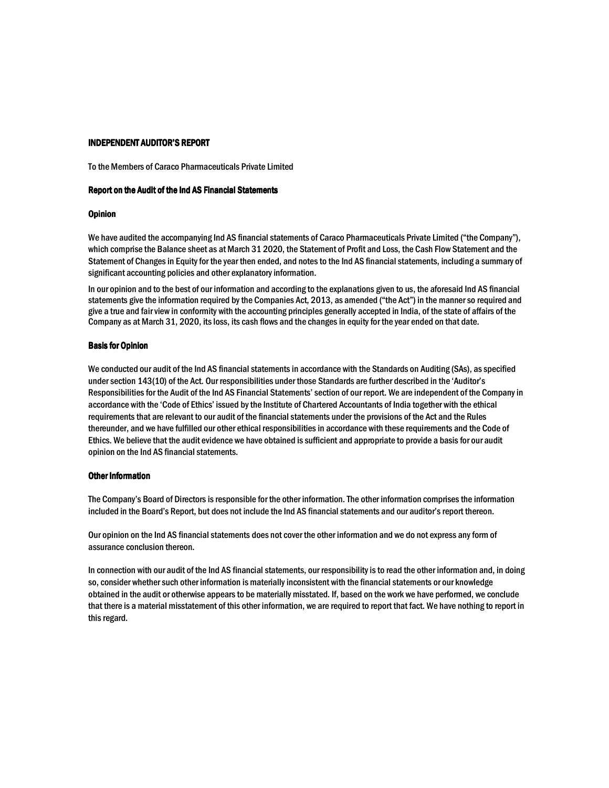#### **INDEPENDENT AUDITOR'S REPORT**

To the Members of Caraco Pharmaceuticals Private Limited

#### Report on the Audit of the Ind AS Financial Statements

#### **Opinion**

We have audited the accompanying Ind AS financial statements of Caraco Pharmaceuticals Private Limited ("the Company"), which comprise the Balance sheet as at March 31 2020, the Statement of Profit and Loss, the Cash Flow Statement and the Statement of Changes in Equity for the year then ended, and notes to the Ind AS financial statements, including a summary of significant accounting policies and other explanatory information.

In our opinion and to the best of our information and according to the explanations given to us, the aforesaid Ind AS financial statements give the information required by the Companies Act, 2013, as amended ("the Act") in the manner so required and give a true and fair view in conformity with the accounting principles generally accepted in India, of the state of affairs of the Company as at March 31, 2020, its loss, its cash flows and the changes in equity for the year ended on that date.

#### **Basis for Opinion**

We conducted our audit of the Ind AS financial statements in accordance with the Standards on Auditing (SAs), as specified under section 143(10) of the Act. Our responsibilities under those Standards are further described in the 'Auditor's Responsibilities for the Audit of the Ind AS Financial Statements' section of our report. We are independent of the Company in accordance with the 'Code of Ethics' issued by the Institute of Chartered Accountants of India together with the ethical requirements that are relevant to our audit of the financial statements under the provisions of the Act and the Rules thereunder, and we have fulfilled our other ethical responsibilities in accordance with these requirements and the Code of Ethics. We believe that the audit evidence we have obtained is sufficient and appropriate to provide a basis for our audit opinion on the Ind AS financial statements.

#### **Other Information**

The Company's Board of Directors is responsible for the other information. The other information comprises the information included in the Board's Report, but does not include the Ind AS financial statements and our auditor's report thereon.

Our opinion on the Ind AS financial statements does not cover the other information and we do not express any form of assurance conclusion thereon.

In connection with our audit of the Ind AS financial statements, our responsibility is to read the other information and, in doing so, consider whether such other information is materially inconsistent with the financial statements or our knowledge obtained in the audit or otherwise appears to be materially misstated. If, based on the work we have performed, we conclude that there is a material misstatement of this other information, we are required to report that fact. We have nothing to report in this regard.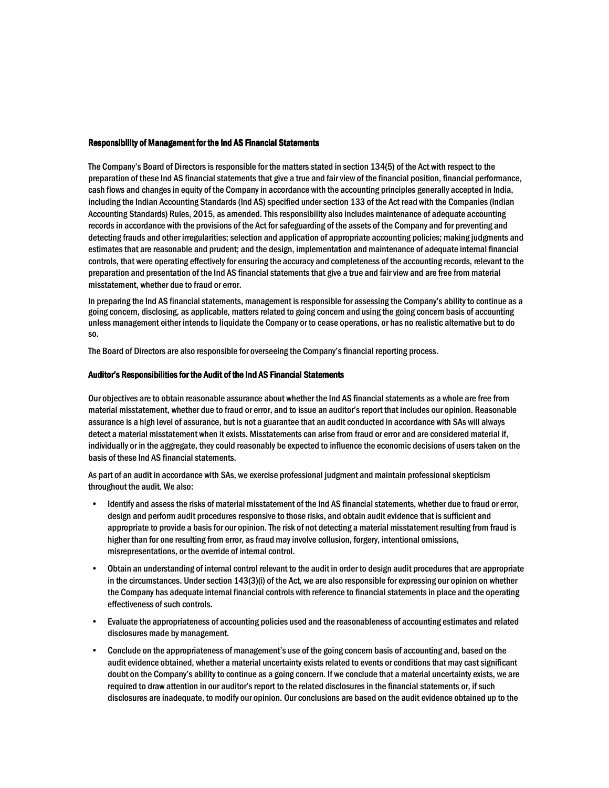#### **Responsibility of Management for the Ind AS Financial Statements**

The Company's Board of Directors is responsible for the matters stated in section 134(5) of the Act with respect to the preparation of these Ind AS financial statements that give a true and fair view of the financial position, financial performance, cash flows and changes in equity of the Company in accordance with the accounting principles generally accepted in India, including the Indian Accounting Standards (Ind AS) specified under section 133 of the Act read with the Companies (Indian Accounting Standards) Rules, 2015, as amended. This responsibility also includes maintenance of adequate accounting records in accordance with the provisions of the Act for safeguarding of the assets of the Company and for preventing and detecting frauds and other irregularities; selection and application of appropriate accounting policies; making judgments and estimates that are reasonable and prudent; and the design, implementation and maintenance of adequate internal financial controls, that were operating effectively for ensuring the accuracy and completeness of the accounting records, relevant to the preparation and presentation of the Ind AS financial statements that give a true and fair view and are free from material misstatement, whether due to fraud or error.

In preparing the Ind AS financial statements, management is responsible for assessing the Company's ability to continue as a going concern, disclosing, as applicable, matters related to going concern and using the going concern basis of accounting unless management either intends to liquidate the Company or to cease operations, or has no realistic alternative but to do  $SO<sub>2</sub>$ 

The Board of Directors are also responsible for overseeing the Company's financial reporting process.

#### Auditor's Responsibilities for the Audit of the Ind AS Financial Statements

Our objectives are to obtain reasonable assurance about whether the Ind AS financial statements as a whole are free from material misstatement, whether due to fraud or error, and to issue an auditor's report that includes our opinion. Reasonable assurance is a high level of assurance, but is not a guarantee that an audit conducted in accordance with SAs will always detect a material misstatement when it exists. Misstatements can arise from fraud or error and are considered material if, individually or in the aggregate, they could reasonably be expected to influence the economic decisions of users taken on the basis of these Ind AS financial statements.

As part of an audit in accordance with SAs, we exercise professional judgment and maintain professional skepticism throughout the audit. We also:

- Identify and assess the risks of material misstatement of the Ind AS financial statements, whether due to fraud or error, design and perform audit procedures responsive to those risks, and obtain audit evidence that is sufficient and appropriate to provide a basis for our opinion. The risk of not detecting a material misstatement resulting from fraud is higher than for one resulting from error, as fraud may involve collusion, forgery, intentional omissions, misrepresentations, or the override of internal control.
- Obtain an understanding of internal control relevant to the audit in order to design audit procedures that are appropriate in the circumstances. Under section 143(3)(i) of the Act, we are also responsible for expressing our opinion on whether the Company has adequate internal financial controls with reference to financial statements in place and the operating effectiveness of such controls.
- Evaluate the appropriateness of accounting policies used and the reasonableness of accounting estimates and related disclosures made by management.
- Conclude on the appropriateness of management's use of the going concern basis of accounting and, based on the audit evidence obtained, whether a material uncertainty exists related to events or conditions that may cast significant doubt on the Company's ability to continue as a going concern. If we conclude that a material uncertainty exists, we are required to draw attention in our auditor's report to the related disclosures in the financial statements or, if such disclosures are inadequate, to modify our opinion. Our conclusions are based on the audit evidence obtained up to the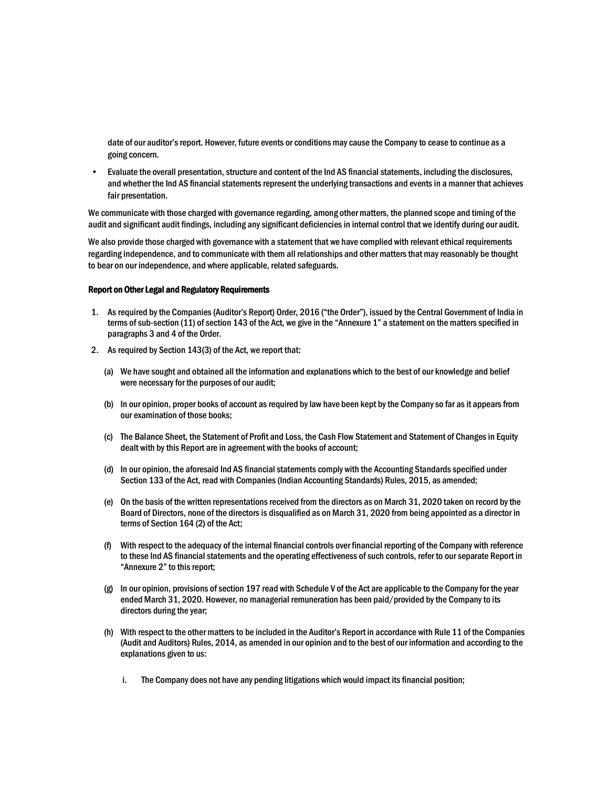date of our auditor's report. However, future events or conditions may cause the Company to cease to continue as a going concern.

 $\bullet$ Evaluate the overall presentation, structure and content of the Ind AS financial statements, including the disclosures, and whether the Ind AS financial statements represent the underlying transactions and events in a manner that achieves fair presentation.

We communicate with those charged with governance regarding, among other matters, the planned scope and timing of the audit and significant audit findings, including any significant deficiencies in internal control that we identify during our audit.

We also provide those charged with governance with a statement that we have complied with relevant ethical requirements regarding independence, and to communicate with them all relationships and other matters that may reasonably be thought to bear on our independence, and where applicable, related safeguards.

#### **Report on Other Legal and Regulatory Requirements**

- 1. As required by the Companies (Auditor's Report) Order, 2016 ("the Order"), issued by the Central Government of India in terms of sub-section (11) of section 143 of the Act, we give in the "Annexure 1" a statement on the matters specified in paragraphs 3 and 4 of the Order.
- 2. As required by Section 143(3) of the Act, we report that:
	- (a) We have sought and obtained all the information and explanations which to the best of our knowledge and belief were necessary for the purposes of our audit;
	- (b) In our opinion, proper books of account as required by law have been kept by the Company so far as it appears from our examination of those books;
	- (c) The Balance Sheet, the Statement of Profit and Loss, the Cash Flow Statement and Statement of Changes in Equity dealt with by this Report are in agreement with the books of account;
	- (d) In our opinion, the aforesaid Ind AS financial statements comply with the Accounting Standards specified under Section 133 of the Act, read with Companies (Indian Accounting Standards) Rules, 2015, as amended;
	- (e) On the basis of the written representations received from the directors as on March 31, 2020 taken on record by the Board of Directors, none of the directors is disqualified as on March 31, 2020 from being appointed as a director in terms of Section 164 (2) of the Act;
	- (f) With respect to the adequacy of the internal financial controls over financial reporting of the Company with reference to these Ind AS financial statements and the operating effectiveness of such controls, refer to our separate Report in "Annexure 2" to this report;
	- (g) In our opinion, provisions of section 197 read with Schedule V of the Act are applicable to the Company for the year ended March 31, 2020. However, no managerial remuneration has been paid/provided by the Company to its directors during the year;
	- (h) With respect to the other matters to be included in the Auditor's Report in accordance with Rule 11 of the Companies (Audit and Auditors) Rules, 2014, as amended in our opinion and to the best of our information and according to the explanations given to us:
		- The Company does not have any pending litigations which would impact its financial position; i.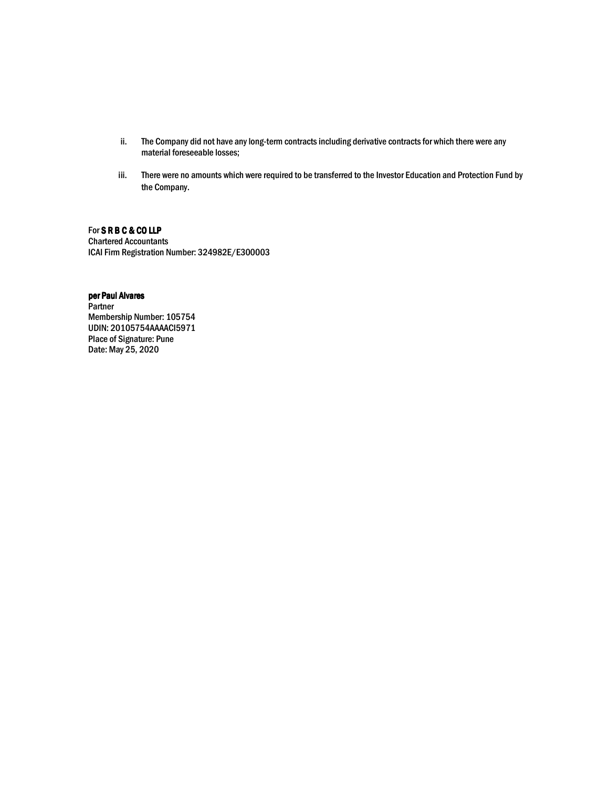- ii. The Company did not have any long-term contracts including derivative contracts for which there were any material foreseeable losses;
- iii. There were no amounts which were required to be transferred to the Investor Education and Protection Fund by the Company.

## For SRBC&COLLP

**Chartered Accountants** ICAI Firm Registration Number: 324982E/E300003

## per Paul Alvares

Partner Membership Number: 105754 UDIN: 20105754AAAACI5971 **Place of Signature: Pune** Date: May 25, 2020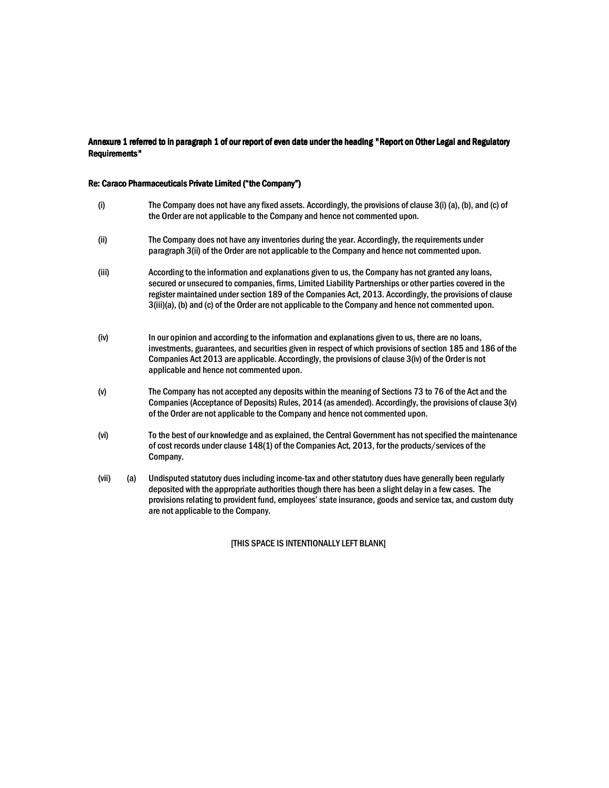## Annexure 1 referred to in paragraph 1 of our report of even date under the heading "Report on Other Legal and Regulatory Requirements"

## Re: Caraco Pharmaceuticals Private Limited ("the Company")

| (i)   | The Company does not have any fixed assets. Accordingly, the provisions of clause 3(i) (a), (b), and (c) of<br>the Order are not applicable to the Company and hence not commented upon.                                                                                                                                                                                                                                        |
|-------|---------------------------------------------------------------------------------------------------------------------------------------------------------------------------------------------------------------------------------------------------------------------------------------------------------------------------------------------------------------------------------------------------------------------------------|
| (i)   | The Company does not have any inventories during the year. Accordingly, the requirements under<br>paragraph 3(ii) of the Order are not applicable to the Company and hence not commented upon.                                                                                                                                                                                                                                  |
| (iii) | According to the information and explanations given to us, the Company has not granted any loans,<br>secured or unsecured to companies, firms, Limited Liability Partnerships or other parties covered in the<br>register maintained under section 189 of the Companies Act, 2013. Accordingly, the provisions of clause<br>3(iii)(a), (b) and (c) of the Order are not applicable to the Company and hence not commented upon. |
| (iv)  | In our opinion and according to the information and explanations given to us, there are no loans,<br>investments, guarantees, and securities given in respect of which provisions of section 185 and 186 of the<br>Companies Act 2013 are applicable. Accordingly, the provisions of clause 3(iv) of the Order is not<br>applicable and hence not commented upon.                                                               |
| (v)   | The Company has not accepted any deposits within the meaning of Sections 73 to 76 of the Act and the<br>Companies (Acceptance of Deposits) Rules, 2014 (as amended). Accordingly, the provisions of clause 3(v)<br>of the Order are not applicable to the Company and hence not commented upon.                                                                                                                                 |
| (vi)  | To the best of our knowledge and as explained, the Central Government has not specified the maintenance<br>of cost records under clause 148(1) of the Companies Act, 2013, for the products/services of the<br>Company.                                                                                                                                                                                                         |

(vii) Undisputed statutory dues including income-tax and other statutory dues have generally been regularly  $(a)$ deposited with the appropriate authorities though there has been a slight delay in a few cases. The provisions relating to provident fund, employees' state insurance, goods and service tax, and custom duty are not applicable to the Company.

[THIS SPACE IS INTENTIONALLY LEFT BLANK]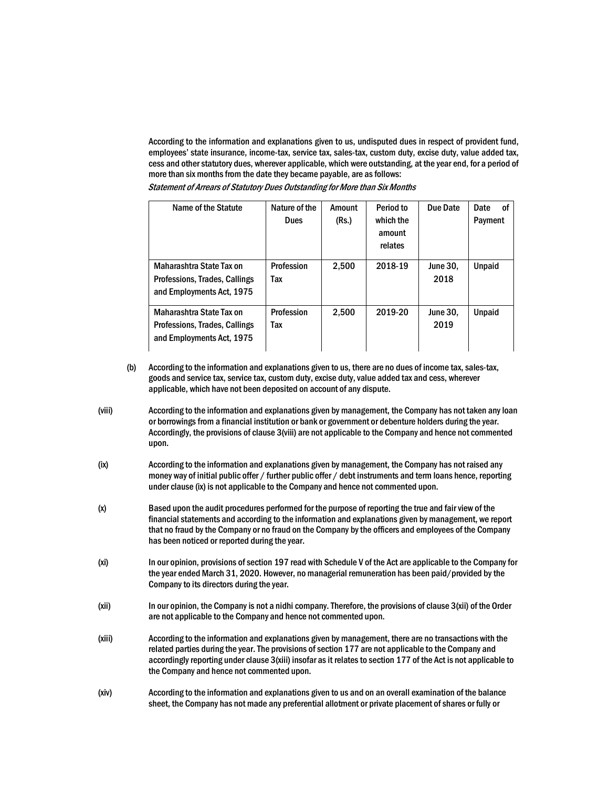According to the information and explanations given to us, undisputed dues in respect of provident fund, employees' state insurance, income-tax, service tax, sales-tax, custom duty, excise duty, value added tax, cess and other statutory dues, wherever applicable, which were outstanding, at the year end, for a period of more than six months from the date they became payable, are as follows:

**Statement of Arrears of Statutory Dues Outstanding for More than Six Months** 

| Name of the Statute                                                                    | Nature of the<br><b>Dues</b> | Amount<br>(Rs.) | Period to<br>which the<br>amount<br>relates | Due Date                | Date<br>Οf<br>Payment |
|----------------------------------------------------------------------------------------|------------------------------|-----------------|---------------------------------------------|-------------------------|-----------------------|
| Maharashtra State Tax on<br>Professions, Trades, Callings<br>and Employments Act, 1975 | Profession<br>Tax            | 2.500           | 2018-19                                     | <b>June 30.</b><br>2018 | <b>Unpaid</b>         |
| Maharashtra State Tax on<br>Professions, Trades, Callings<br>and Employments Act, 1975 | Profession<br>Tax            | 2,500           | 2019-20                                     | <b>June 30.</b><br>2019 | Unpaid                |

- According to the information and explanations given to us, there are no dues of income tax, sales-tax,  $(b)$ goods and service tax, service tax, custom duty, excise duty, value added tax and cess, wherever applicable, which have not been deposited on account of any dispute.
- (viii) According to the information and explanations given by management, the Company has not taken any loan or borrowings from a financial institution or bank or government or debenture holders during the year. Accordingly, the provisions of clause 3(viii) are not applicable to the Company and hence not commented upon.
- $(ix)$ According to the information and explanations given by management, the Company has not raised any money way of initial public offer / further public offer / debt instruments and term loans hence, reporting under clause (ix) is not applicable to the Company and hence not commented upon.
- Based upon the audit procedures performed for the purpose of reporting the true and fair view of the  $(x)$ financial statements and according to the information and explanations given by management, we report that no fraud by the Company or no fraud on the Company by the officers and employees of the Company has been noticed or reported during the year.
- $(x<sub>i</sub>)$ In our opinion, provisions of section 197 read with Schedule V of the Act are applicable to the Company for the year ended March 31, 2020. However, no managerial remuneration has been paid/provided by the Company to its directors during the year.
- $(xii)$ In our opinion, the Company is not a nidhi company. Therefore, the provisions of clause 3(xii) of the Order are not applicable to the Company and hence not commented upon.
- $(xiii)$ According to the information and explanations given by management, there are no transactions with the related parties during the year. The provisions of section 177 are not applicable to the Company and accordingly reporting under clause 3(xiii) insofar as it relates to section 177 of the Act is not applicable to the Company and hence not commented upon.
- According to the information and explanations given to us and on an overall examination of the balance  $(xiv)$ sheet, the Company has not made any preferential allotment or private placement of shares or fully or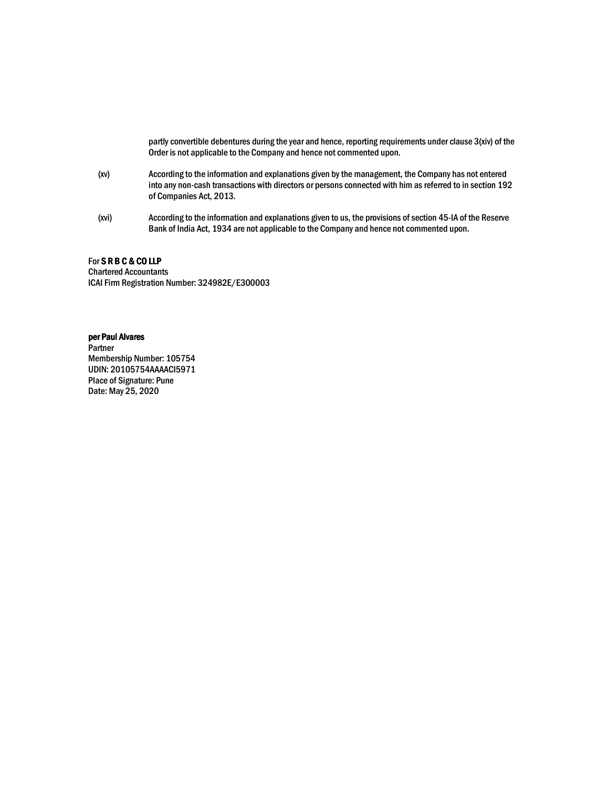partly convertible debentures during the year and hence, reporting requirements under clause 3(xiv) of the Order is not applicable to the Company and hence not commented upon.

- $(xv)$ According to the information and explanations given by the management, the Company has not entered into any non-cash transactions with directors or persons connected with him as referred to in section 192 of Companies Act, 2013.
- According to the information and explanations given to us, the provisions of section 45-IA of the Reserve (xvi) Bank of India Act, 1934 are not applicable to the Company and hence not commented upon.

#### For SRBC&COLLP

**Chartered Accountants** ICAI Firm Registration Number: 324982E/E300003

## per Paul Alvares

Partner Membership Number: 105754 UDIN: 20105754AAAACI5971 **Place of Signature: Pune** Date: May 25, 2020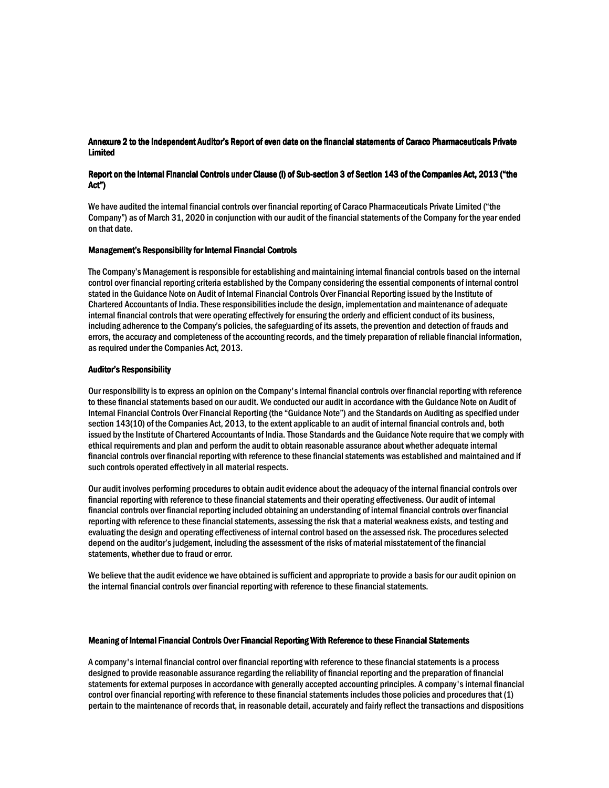## Annexure 2 to the Independent Auditor's Report of even date on the financial statements of Caraco Pharmaceuticals Private **Limited**

## Report on the Internal Financial Controls under Clause (i) of Sub-section 3 of Section 143 of the Companies Act, 2013 ("the Act")

We have audited the internal financial controls over financial reporting of Caraco Pharmaceuticals Private Limited ("the Company") as of March 31, 2020 in conjunction with our audit of the financial statements of the Company for the year ended on that date.

#### **Management's Responsibility for Internal Financial Controls**

The Company's Management is responsible for establishing and maintaining internal financial controls based on the internal control over financial reporting criteria established by the Company considering the essential components of internal control stated in the Guidance Note on Audit of Internal Financial Controls Over Financial Reporting issued by the Institute of Chartered Accountants of India. These responsibilities include the design, implementation and maintenance of adequate internal financial controls that were operating effectively for ensuring the orderly and efficient conduct of its business. including adherence to the Company's policies, the safeguarding of its assets, the prevention and detection of frauds and errors, the accuracy and completeness of the accounting records, and the timely preparation of reliable financial information. as required under the Companies Act. 2013.

#### **Auditor's Responsibility**

Our responsibility is to express an opinion on the Company's internal financial controls over financial reporting with reference to these financial statements based on our audit. We conducted our audit in accordance with the Guidance Note on Audit of Internal Financial Controls Over Financial Reporting (the "Guidance Note") and the Standards on Auditing as specified under section 143(10) of the Companies Act. 2013, to the extent applicable to an audit of internal financial controls and, both issued by the Institute of Chartered Accountants of India. Those Standards and the Guidance Note require that we comply with ethical requirements and plan and perform the audit to obtain reasonable assurance about whether adequate internal financial controls over financial reporting with reference to these financial statements was established and maintained and if such controls operated effectively in all material respects.

Our audit involves performing procedures to obtain audit evidence about the adequacy of the internal financial controls over financial reporting with reference to these financial statements and their operating effectiveness. Our audit of internal financial controls over financial reporting included obtaining an understanding of internal financial controls over financial reporting with reference to these financial statements, assessing the risk that a material weakness exists, and testing and evaluating the design and operating effectiveness of internal control based on the assessed risk. The procedures selected depend on the auditor's judgement, including the assessment of the risks of material misstatement of the financial statements, whether due to fraud or error.

We believe that the audit evidence we have obtained is sufficient and appropriate to provide a basis for our audit opinion on the internal financial controls over financial reporting with reference to these financial statements.

#### Meaning of Internal Financial Controls Over Financial Reporting With Reference to these Financial Statements

A company's internal financial control over financial reporting with reference to these financial statements is a process designed to provide reasonable assurance regarding the reliability of financial reporting and the preparation of financial statements for external purposes in accordance with generally accepted accounting principles. A company's internal financial control over financial reporting with reference to these financial statements includes those policies and procedures that (1) pertain to the maintenance of records that, in reasonable detail, accurately and fairly reflect the transactions and dispositions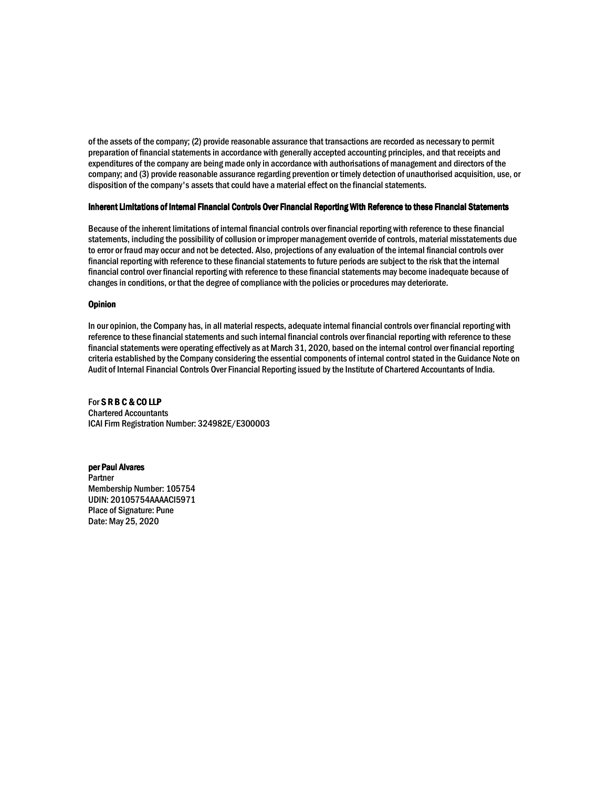of the assets of the company; (2) provide reasonable assurance that transactions are recorded as necessary to permit preparation of financial statements in accordance with generally accepted accounting principles, and that receipts and expenditures of the company are being made only in accordance with authorisations of management and directors of the company; and (3) provide reasonable assurance regarding prevention or timely detection of unauthorised acquisition, use, or disposition of the company's assets that could have a material effect on the financial statements.

#### Inherent Limitations of Internal Financial Controls Over Financial Reporting With Reference to these Financial Statements

Because of the inherent limitations of internal financial controls over financial reporting with reference to these financial statements, including the possibility of collusion or improper management override of controls, material misstatements due to error or fraud may occur and not be detected. Also, projections of any evaluation of the internal financial controls over financial reporting with reference to these financial statements to future periods are subject to the risk that the internal financial control over financial reporting with reference to these financial statements may become inadequate because of changes in conditions, or that the degree of compliance with the policies or procedures may deteriorate.

#### **Opinion**

In our opinion, the Company has, in all material respects, adequate internal financial controls over financial reporting with reference to these financial statements and such internal financial controls over financial reporting with reference to these financial statements were operating effectively as at March 31, 2020, based on the internal control over financial reporting criteria established by the Company considering the essential components of internal control stated in the Guidance Note on Audit of Internal Financial Controls Over Financial Reporting issued by the Institute of Chartered Accountants of India.

For SRBC&COLLP **Chartered Accountants** ICAI Firm Registration Number: 324982E/E300003

#### per Paul Alvares

Partner Membership Number: 105754 UDIN: 20105754AAAACI5971 **Place of Signature: Pune** Date: May 25, 2020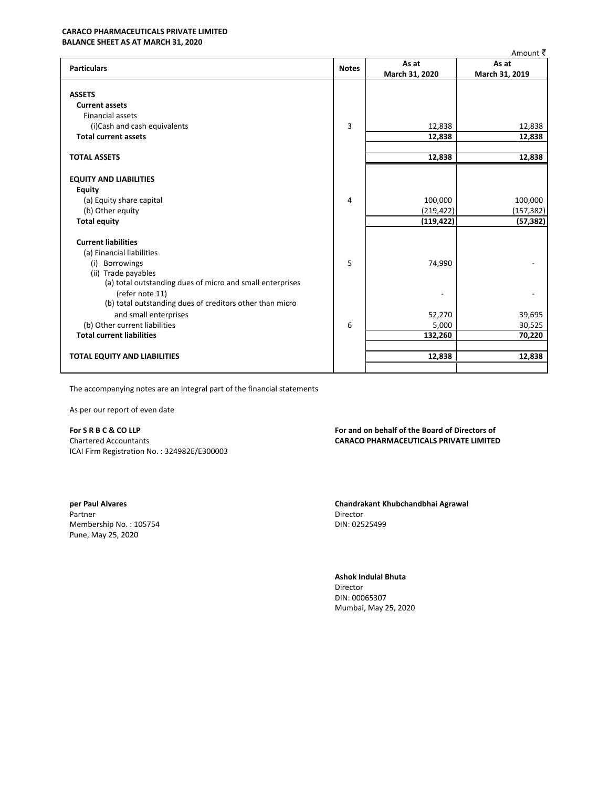## **CARACO PHARMACEUTICALS PRIVATE LIMITED**

**BALANCE SHEET AS AT MARCH 31, 2020** 

|                                                           |              |                | Amount र       |
|-----------------------------------------------------------|--------------|----------------|----------------|
| <b>Particulars</b>                                        | <b>Notes</b> | As at          | As at          |
|                                                           |              | March 31, 2020 | March 31, 2019 |
|                                                           |              |                |                |
| <b>ASSETS</b>                                             |              |                |                |
| <b>Current assets</b>                                     |              |                |                |
| <b>Financial assets</b>                                   |              |                |                |
| (i)Cash and cash equivalents                              | 3            | 12,838         | 12,838         |
| <b>Total current assets</b>                               |              | 12,838         | 12,838         |
|                                                           |              |                |                |
| <b>TOTAL ASSETS</b>                                       |              | 12,838         | 12,838         |
|                                                           |              |                |                |
| <b>EQUITY AND LIABILITIES</b>                             |              |                |                |
| <b>Equity</b>                                             |              |                |                |
| (a) Equity share capital                                  | 4            | 100,000        | 100,000        |
| (b) Other equity                                          |              | (219, 422)     | (157, 382)     |
| <b>Total equity</b>                                       |              | (119, 422)     | (57, 382)      |
|                                                           |              |                |                |
| <b>Current liabilities</b>                                |              |                |                |
| (a) Financial liabilities                                 |              |                |                |
| (i) Borrowings                                            | 5            | 74,990         |                |
| (ii) Trade payables                                       |              |                |                |
| (a) total outstanding dues of micro and small enterprises |              |                |                |
| (refer note 11)                                           |              |                |                |
| (b) total outstanding dues of creditors other than micro  |              |                |                |
| and small enterprises                                     |              | 52,270         | 39,695         |
| (b) Other current liabilities                             | 6            | 5,000          | 30,525         |
| <b>Total current liabilities</b>                          |              | 132,260        | 70,220         |
|                                                           |              |                |                |
| <b>TOTAL EQUITY AND LIABILITIES</b>                       |              | 12,838         | 12,838         |
|                                                           |              |                |                |

The accompanying notes are an integral part of the financial statements

As per our report of even date

For SRBC&COLLP **Chartered Accountants** ICAI Firm Registration No.: 324982E/E300003

per Paul Alvares Partner Membership No.: 105754 Pune, May 25, 2020

For and on behalf of the Board of Directors of **CARACO PHARMACEUTICALS PRIVATE LIMITED** 

Chandrakant Khubchandbhai Agrawal Director DIN: 02525499

#### Ashok Indulal Bhuta

Director DIN: 00065307 Mumbai, May 25, 2020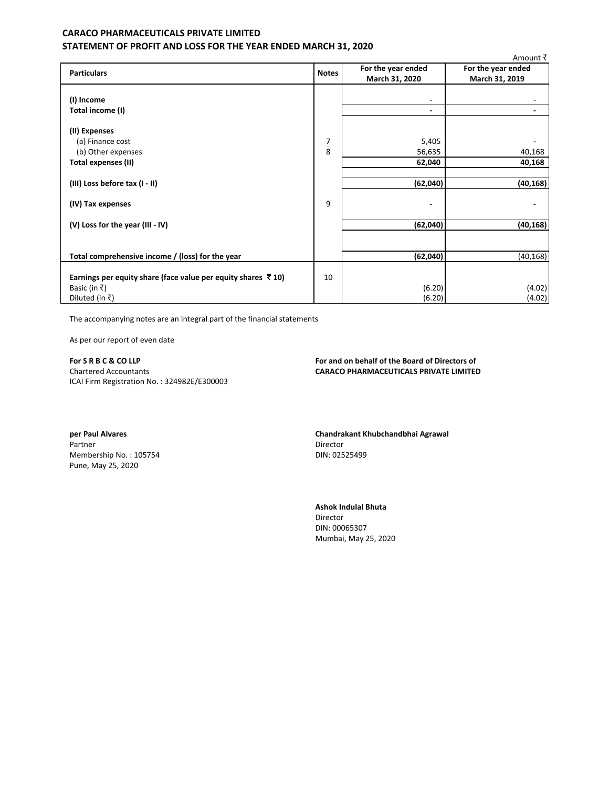## **CARACO PHARMACEUTICALS PRIVATE LIMITED** STATEMENT OF PROFIT AND LOSS FOR THE YEAR ENDED MARCH 31, 2020

|                                                                       |              |                          | Amount ₹           |
|-----------------------------------------------------------------------|--------------|--------------------------|--------------------|
|                                                                       |              | For the year ended       | For the year ended |
| <b>Particulars</b>                                                    | <b>Notes</b> | March 31, 2020           | March 31, 2019     |
|                                                                       |              |                          |                    |
| (I) Income                                                            |              | $\overline{\phantom{a}}$ |                    |
| Total income (I)                                                      |              | ٠                        |                    |
|                                                                       |              |                          |                    |
| (II) Expenses                                                         |              |                          |                    |
| (a) Finance cost                                                      | 7            | 5,405                    |                    |
| (b) Other expenses                                                    | 8            | 56,635                   | 40,168             |
| Total expenses (II)                                                   |              | 62,040                   | 40,168             |
|                                                                       |              |                          |                    |
| (III) Loss before tax (I - II)                                        |              | (62, 040)                | (40, 168)          |
|                                                                       |              |                          |                    |
| (IV) Tax expenses                                                     | 9            | $\blacksquare$           |                    |
|                                                                       |              |                          |                    |
| (V) Loss for the year (III - IV)                                      |              | (62, 040)                | (40, 168)          |
|                                                                       |              |                          |                    |
|                                                                       |              |                          |                    |
| Total comprehensive income / (loss) for the year                      |              | (62,040)                 | (40, 168)          |
|                                                                       |              |                          |                    |
| Earnings per equity share (face value per equity shares $\bar{z}$ 10) | 10           |                          |                    |
| Basic (in ₹)                                                          |              | (6.20)                   | (4.02)             |
| Diluted (in ₹)                                                        |              | (6.20)                   | (4.02)             |
|                                                                       |              |                          |                    |

The accompanying notes are an integral part of the financial statements

As per our report of even date

For S R B C & CO LLP **Chartered Accountants** ICAI Firm Registration No.: 324982E/E300003 For and on behalf of the Board of Directors of **CARACO PHARMACEUTICALS PRIVATE LIMITED** 

per Paul Alvares Partner Membership No.: 105754 Pune, May 25, 2020

Chandrakant Khubchandbhai Agrawal Director DIN: 02525499

**Ashok Indulal Bhuta** Director DIN: 00065307 Mumbai, May 25, 2020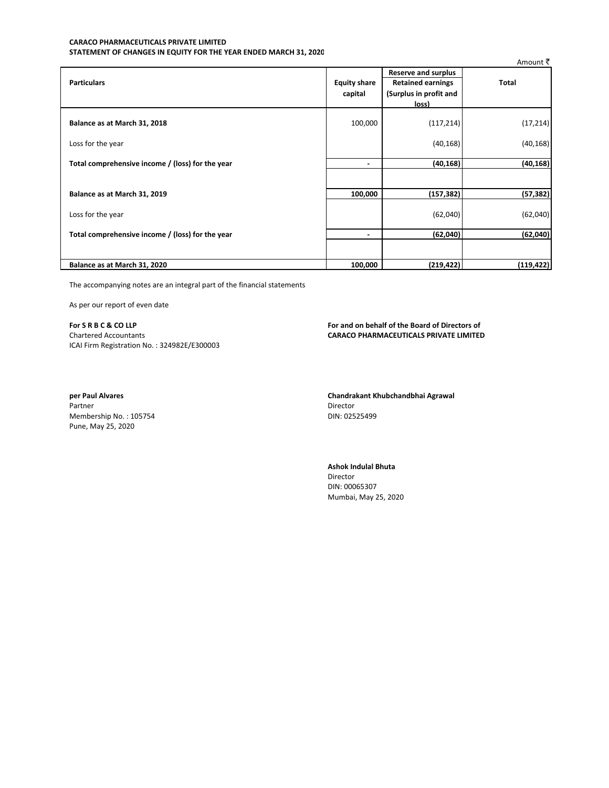#### CARACO PHARMACEUTICALS PRIVATE LIMITED STATEMENT OF CHANGES IN EQUITY FOR THE YEAR ENDED MARCH 31, 2020

|                                                  |                                |                                                                                           | Amount ₹     |
|--------------------------------------------------|--------------------------------|-------------------------------------------------------------------------------------------|--------------|
| <b>Particulars</b>                               | <b>Equity share</b><br>capital | <b>Reserve and surplus</b><br><b>Retained earnings</b><br>(Surplus in profit and<br>loss) | <b>Total</b> |
| Balance as at March 31, 2018                     | 100,000                        | (117, 214)                                                                                | (17, 214)    |
| Loss for the year                                |                                | (40, 168)                                                                                 | (40, 168)    |
| Total comprehensive income / (loss) for the year | $\blacksquare$                 | (40, 168)                                                                                 | (40, 168)    |
|                                                  |                                |                                                                                           |              |
| Balance as at March 31, 2019                     | 100,000                        | (157, 382)                                                                                | (57, 382)    |
| Loss for the year                                |                                | (62,040)                                                                                  | (62,040)     |
| Total comprehensive income / (loss) for the year | $\blacksquare$                 | (62,040)                                                                                  | (62,040)     |
|                                                  |                                |                                                                                           |              |
| Balance as at March 31, 2020                     | 100,000                        | (219, 422)                                                                                | (119, 422)   |

The accompanying notes are an integral part of the financial statements

As per our report of even date

For SRBC&COLLP Chartered Accountants ICAI Firm Registration No.: 324982E/E300003 For and on behalf of the Board of Directors of **CARACO PHARMACEUTICALS PRIVATE LIMITED** 

per Paul Alvares Partner Membership No.: 105754 Pune, May 25, 2020

Chandrakant Khubchandbhai Agrawal Director DIN: 02525499

## Ashok Indulal Bhuta

Director DIN: 00065307 Mumbai, May 25, 2020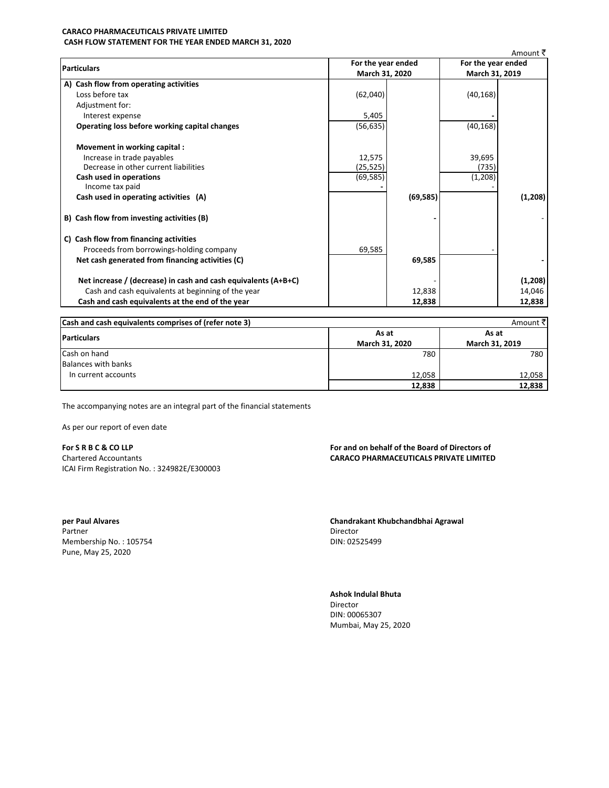#### **CARACO PHARMACEUTICALS PRIVATE LIMITED** CASH FLOW STATEMENT FOR THE YEAR ENDED MARCH 31, 2020

|                                                                |           | For the year ended<br>March 31, 2020 |           | Amount ₹<br>For the year ended<br>March 31, 2019 |  |
|----------------------------------------------------------------|-----------|--------------------------------------|-----------|--------------------------------------------------|--|
| <b>Particulars</b>                                             |           |                                      |           |                                                  |  |
| A) Cash flow from operating activities                         |           |                                      |           |                                                  |  |
| Loss before tax                                                | (62,040)  |                                      | (40, 168) |                                                  |  |
| Adjustment for:                                                |           |                                      |           |                                                  |  |
| Interest expense                                               | 5,405     |                                      |           |                                                  |  |
| Operating loss before working capital changes                  | (56, 635) |                                      | (40, 168) |                                                  |  |
| Movement in working capital :                                  |           |                                      |           |                                                  |  |
| Increase in trade payables                                     | 12,575    |                                      | 39,695    |                                                  |  |
| Decrease in other current liabilities                          | (25, 525) |                                      | (735)     |                                                  |  |
| Cash used in operations                                        | (69, 585) |                                      | (1,208)   |                                                  |  |
| Income tax paid                                                |           |                                      |           |                                                  |  |
| Cash used in operating activities (A)                          |           | (69, 585)                            |           | (1,208)                                          |  |
| B) Cash flow from investing activities (B)                     |           |                                      |           |                                                  |  |
| C) Cash flow from financing activities                         |           |                                      |           |                                                  |  |
| Proceeds from borrowings-holding company                       | 69,585    |                                      |           |                                                  |  |
| Net cash generated from financing activities (C)               |           | 69,585                               |           |                                                  |  |
| Net increase / (decrease) in cash and cash equivalents (A+B+C) |           |                                      |           | (1,208)                                          |  |
| Cash and cash equivalents at beginning of the year             |           | 12,838                               |           | 14,046                                           |  |
| Cash and cash equivalents at the end of the year               |           | 12,838                               |           | 12,838                                           |  |

| Cash and cash equivalents comprises of (refer note 3) |                | Amount ₹       |
|-------------------------------------------------------|----------------|----------------|
| <b>Particulars</b>                                    | As at          | As at          |
|                                                       | March 31, 2020 | March 31, 2019 |
| Cash on hand                                          | 780            | 780            |
| Balances with banks                                   |                |                |
| In current accounts                                   | 12,058         | 12,058         |
|                                                       | 12,838         | 12,838         |

The accompanying notes are an integral part of the financial statements

As per our report of even date

For SRBC&COLLP Chartered Accountants ICAI Firm Registration No.: 324982E/E300003 For and on behalf of the Board of Directors of **CARACO PHARMACEUTICALS PRIVATE LIMITED** 

Chandrakant Khubchandbhai Agrawal Director DIN: 02525499

**Ashok Indulal Bhuta** Director DIN: 00065307 Mumbai, May 25, 2020

per Paul Alvares Partner Membership No.: 105754 Pune, May 25, 2020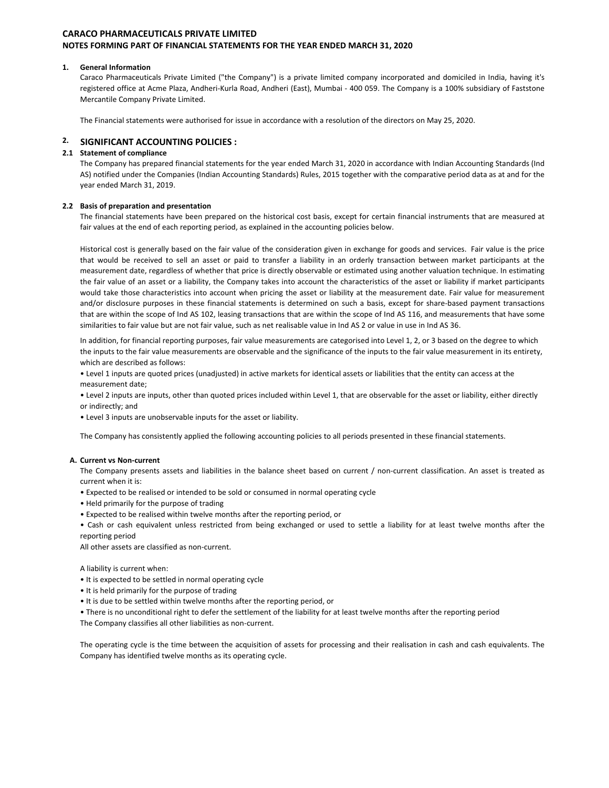#### 1. General Information

Caraco Pharmaceuticals Private Limited ("the Company") is a private limited company incorporated and domiciled in India, having it's registered office at Acme Plaza, Andheri-Kurla Road, Andheri (East), Mumbai - 400 059. The Company is a 100% subsidiary of Faststone Mercantile Company Private Limited.

The Financial statements were authorised for issue in accordance with a resolution of the directors on May 25, 2020.

#### **SIGNIFICANT ACCOUNTING POLICIES:**

#### 2.1 Statement of compliance

The Company has prepared financial statements for the year ended March 31, 2020 in accordance with Indian Accounting Standards (Ind AS) notified under the Companies (Indian Accounting Standards) Rules, 2015 together with the comparative period data as at and for the year ended March 31, 2019.

#### 2.2 Basis of preparation and presentation

The financial statements have been prepared on the historical cost basis, except for certain financial instruments that are measured at fair values at the end of each reporting period, as explained in the accounting policies below.

Historical cost is generally based on the fair value of the consideration given in exchange for goods and services. Fair value is the price that would be received to sell an asset or paid to transfer a liability in an orderly transaction between market participants at the measurement date, regardless of whether that price is directly observable or estimated using another valuation technique. In estimating the fair value of an asset or a liability, the Company takes into account the characteristics of the asset or liability if market participants would take those characteristics into account when pricing the asset or liability at the measurement date. Fair value for measurement and/or disclosure purposes in these financial statements is determined on such a basis, except for share-based payment transactions that are within the scope of Ind AS 102, leasing transactions that are within the scope of Ind AS 116, and measurements that have some similarities to fair value but are not fair value, such as net realisable value in Ind AS 2 or value in use in Ind AS 36.

In addition, for financial reporting purposes, fair value measurements are categorised into Level 1, 2, or 3 based on the degree to which the inputs to the fair value measurements are observable and the significance of the inputs to the fair value measurement in its entirety, which are described as follows:

. Level 1 inputs are quoted prices (unadjusted) in active markets for identical assets or liabilities that the entity can access at the measurement date;

. Level 2 inputs are inputs, other than quoted prices included within Level 1, that are observable for the asset or liability, either directly or indirectly; and

• Level 3 inputs are unobservable inputs for the asset or liability.

The Company has consistently applied the following accounting policies to all periods presented in these financial statements.

#### A. Current vs Non-current

The Company presents assets and liabilities in the balance sheet based on current / non-current classification. An asset is treated as current when it is:

- Expected to be realised or intended to be sold or consumed in normal operating cycle
- . Held primarily for the purpose of trading
- Expected to be realised within twelve months after the reporting period, or

. Cash or cash equivalent unless restricted from being exchanged or used to settle a liability for at least twelve months after the reporting period

All other assets are classified as non-current.

A liability is current when:

- It is expected to be settled in normal operating cycle
- . It is held primarily for the purpose of trading
- . It is due to be settled within twelve months after the reporting period, or
- There is no unconditional right to defer the settlement of the liability for at least twelve months after the reporting period

The Company classifies all other liabilities as non-current.

The operating cycle is the time between the acquisition of assets for processing and their realisation in cash and cash equivalents. The Company has identified twelve months as its operating cycle.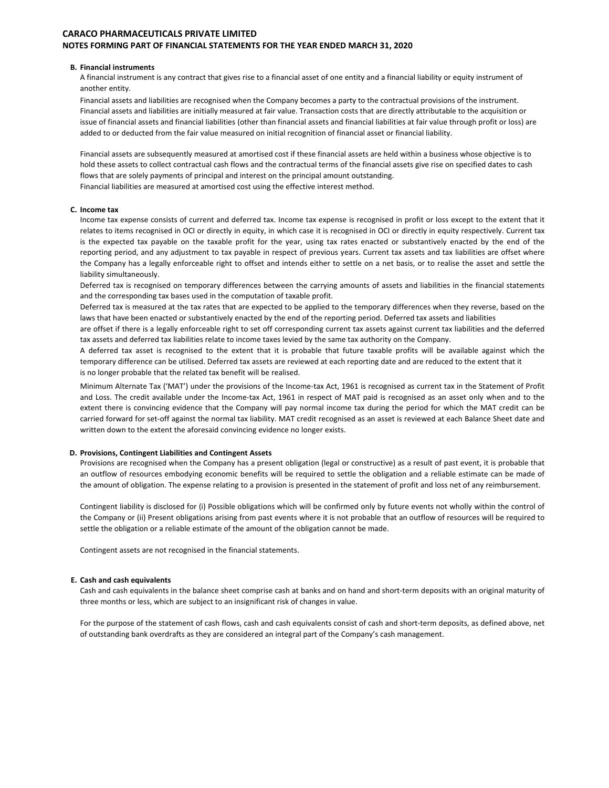#### **B. Financial instruments**

A financial instrument is any contract that gives rise to a financial asset of one entity and a financial liability or equity instrument of another entity.

Financial assets and liabilities are recognised when the Company becomes a party to the contractual provisions of the instrument. Financial assets and liabilities are initially measured at fair value. Transaction costs that are directly attributable to the acquisition or issue of financial assets and financial liabilities (other than financial assets and financial liabilities at fair value through profit or loss) are added to or deducted from the fair value measured on initial recognition of financial asset or financial liability.

Financial assets are subsequently measured at amortised cost if these financial assets are held within a business whose objective is to hold these assets to collect contractual cash flows and the contractual terms of the financial assets give rise on specified dates to cash flows that are solely payments of principal and interest on the principal amount outstanding. Financial liabilities are measured at amortised cost using the effective interest method.

#### C. Income tax

Income tax expense consists of current and deferred tax. Income tax expense is recognised in profit or loss except to the extent that it relates to items recognised in OCI or directly in equity, in which case it is recognised in OCI or directly in equity respectively. Current tax is the expected tax payable on the taxable profit for the year, using tax rates enacted or substantively enacted by the end of the reporting period, and any adjustment to tax payable in respect of previous years. Current tax assets and tax liabilities are offset where the Company has a legally enforceable right to offset and intends either to settle on a net basis, or to realise the asset and settle the liability simultaneously.

Deferred tax is recognised on temporary differences between the carrying amounts of assets and liabilities in the financial statements and the corresponding tax bases used in the computation of taxable profit.

Deferred tax is measured at the tax rates that are expected to be applied to the temporary differences when they reverse, based on the laws that have been enacted or substantively enacted by the end of the reporting period. Deferred tax assets and liabilities

are offset if there is a legally enforceable right to set off corresponding current tax assets against current tax liabilities and the deferred tax assets and deferred tax liabilities relate to income taxes levied by the same tax authority on the Company.

A deferred tax asset is recognised to the extent that it is probable that future taxable profits will be available against which the temporary difference can be utilised. Deferred tax assets are reviewed at each reporting date and are reduced to the extent that it is no longer probable that the related tax benefit will be realised.

Minimum Alternate Tax ('MAT') under the provisions of the Income-tax Act, 1961 is recognised as current tax in the Statement of Profit and Loss. The credit available under the Income-tax Act, 1961 in respect of MAT paid is recognised as an asset only when and to the extent there is convincing evidence that the Company will pay normal income tax during the period for which the MAT credit can be carried forward for set-off against the normal tax liability. MAT credit recognised as an asset is reviewed at each Balance Sheet date and written down to the extent the aforesaid convincing evidence no longer exists.

#### D. Provisions, Contingent Liabilities and Contingent Assets

Provisions are recognised when the Company has a present obligation (legal or constructive) as a result of past event, it is probable that an outflow of resources embodying economic benefits will be required to settle the obligation and a reliable estimate can be made of the amount of obligation. The expense relating to a provision is presented in the statement of profit and loss net of any reimbursement.

Contingent liability is disclosed for (i) Possible obligations which will be confirmed only by future events not wholly within the control of the Company or (ii) Present obligations arising from past events where it is not probable that an outflow of resources will be required to settle the obligation or a reliable estimate of the amount of the obligation cannot be made.

Contingent assets are not recognised in the financial statements.

#### E. Cash and cash equivalents

Cash and cash equivalents in the balance sheet comprise cash at banks and on hand and short-term deposits with an original maturity of three months or less, which are subject to an insignificant risk of changes in value.

For the purpose of the statement of cash flows, cash and cash equivalents consist of cash and short-term deposits, as defined above, net of outstanding bank overdrafts as they are considered an integral part of the Company's cash management.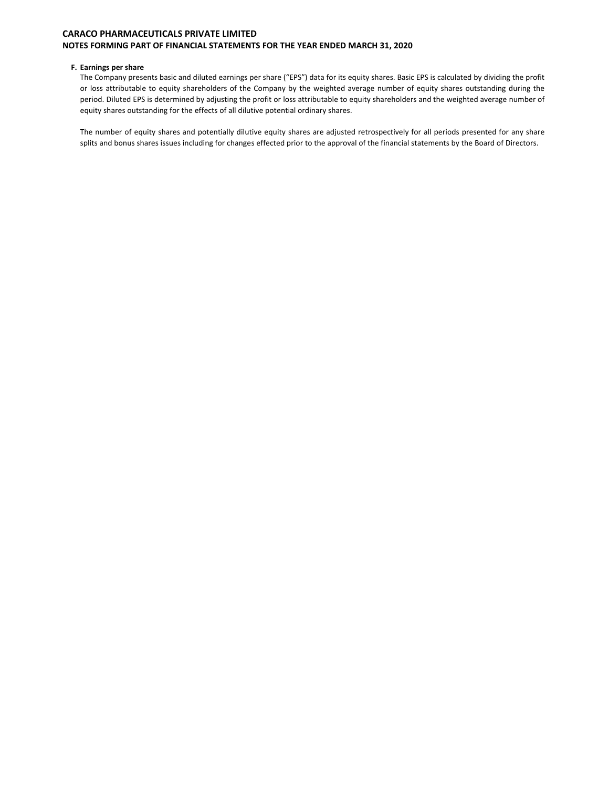#### F. Earnings per share

The Company presents basic and diluted earnings per share ("EPS") data for its equity shares. Basic EPS is calculated by dividing the profit or loss attributable to equity shareholders of the Company by the weighted average number of equity shares outstanding during the period. Diluted EPS is determined by adjusting the profit or loss attributable to equity shareholders and the weighted average number of equity shares outstanding for the effects of all dilutive potential ordinary shares.

The number of equity shares and potentially dilutive equity shares are adjusted retrospectively for all periods presented for any share splits and bonus shares issues including for changes effected prior to the approval of the financial statements by the Board of Directors.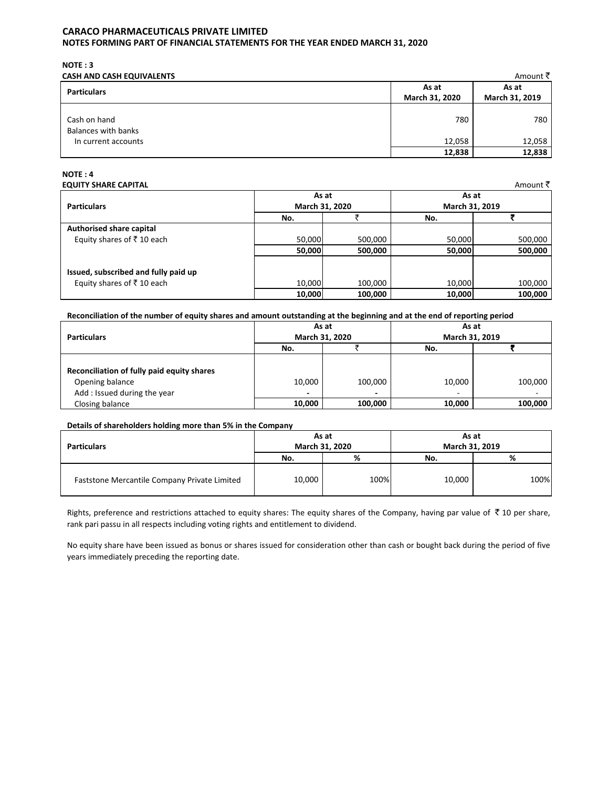$NOTE: 3$ 

| <b>CASH AND CASH EQUIVALENTS</b>    |                         | Amount ₹                |
|-------------------------------------|-------------------------|-------------------------|
| <b>Particulars</b>                  | As at<br>March 31, 2020 | As at<br>March 31, 2019 |
| Cash on hand<br>Balances with banks | 780                     | 780                     |
| In current accounts                 | 12,058                  | 12,058                  |
|                                     | 12,838                  | 12,838                  |

# $NOTE: 4$

| <b>EQUITY SHARE CAPITAL</b><br>Amount र |        |                         |        |                |  |  |
|-----------------------------------------|--------|-------------------------|--------|----------------|--|--|
|                                         |        | As at<br>March 31, 2020 |        | As at          |  |  |
| <b>Particulars</b>                      |        |                         |        | March 31, 2019 |  |  |
|                                         | No.    |                         | No.    |                |  |  |
| Authorised share capital                |        |                         |        |                |  |  |
| Equity shares of ₹10 each               | 50,000 | 500,000                 | 50,000 | 500,000        |  |  |
|                                         | 50,000 | 500,000                 | 50,000 | 500,000        |  |  |
|                                         |        |                         |        |                |  |  |
| Issued, subscribed and fully paid up    |        |                         |        |                |  |  |
| Equity shares of ₹10 each               | 10,000 | 100,000                 | 10,000 | 100,000        |  |  |
|                                         | 10,000 | 100,000                 | 10,000 | 100,000        |  |  |

## Reconciliation of the number of equity shares and amount outstanding at the beginning and at the end of reporting period

|                                            | As at                    |         | As at                    |         |  |
|--------------------------------------------|--------------------------|---------|--------------------------|---------|--|
| <b>Particulars</b>                         | March 31, 2020           |         | March 31, 2019           |         |  |
|                                            | No.                      |         | No.                      |         |  |
|                                            |                          |         |                          |         |  |
| Reconciliation of fully paid equity shares |                          |         |                          |         |  |
| Opening balance                            | 10,000                   | 100,000 | 10,000                   | 100,000 |  |
| Add: Issued during the year                | $\overline{\phantom{0}}$ | -       | $\overline{\phantom{a}}$ |         |  |
| Closing balance                            | 10,000                   | 100,000 | 10,000                   | 100,000 |  |

## Details of shareholders holding more than 5% in the Company

|                                              | As at          |      | As at          |      |
|----------------------------------------------|----------------|------|----------------|------|
| <b>Particulars</b>                           | March 31, 2020 |      | March 31, 2019 |      |
|                                              | No.            | %    | No.            | %    |
| Faststone Mercantile Company Private Limited | 10,000         | 100% | 10,000         | 100% |

Rights, preference and restrictions attached to equity shares: The equity shares of the Company, having par value of  $\bar{\tau}$  10 per share, rank pari passu in all respects including voting rights and entitlement to dividend.

No equity share have been issued as bonus or shares issued for consideration other than cash or bought back during the period of five years immediately preceding the reporting date.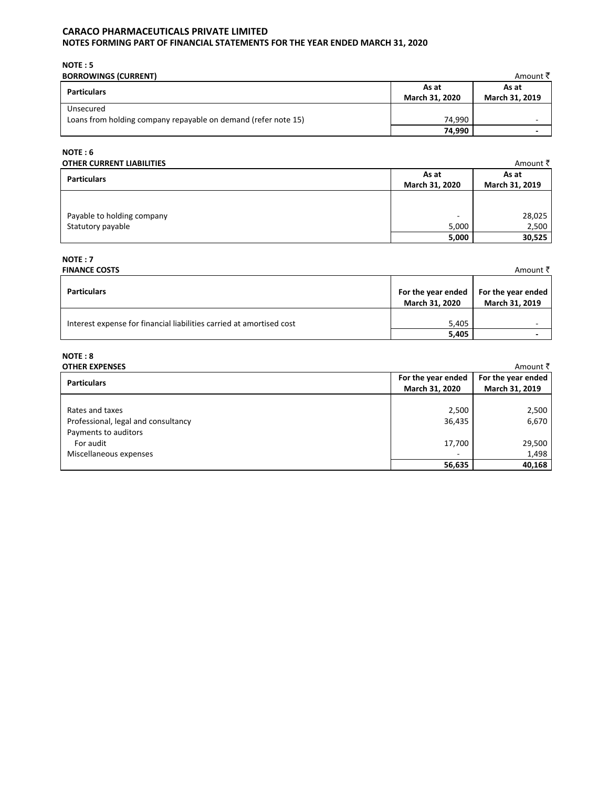## CARACO PHARMACEUTICALS PRIVATE LIMITED

## NOTES FORMING PART OF FINANCIAL STATEMENTS FOR THE YEAR ENDED MARCH 31, 2020

 $NOTE: 5$ 

| <b>BORROWINGS (CURRENT)</b>                                    |                | Amount ₹ै      |
|----------------------------------------------------------------|----------------|----------------|
| <b>Particulars</b>                                             | As at          | As at          |
|                                                                | March 31, 2020 | March 31, 2019 |
| Unsecured                                                      |                |                |
| Loans from holding company repayable on demand (refer note 15) | 74.990         | -              |
|                                                                | 74,990         |                |

## $NOTE: 6$

| <b>OTHER CURRENT LIABILITIES</b> |                         | Amount ₹                |
|----------------------------------|-------------------------|-------------------------|
| <b>Particulars</b>               | As at<br>March 31, 2020 | As at<br>March 31, 2019 |
|                                  |                         |                         |
| Payable to holding company       | -                       | 28,025                  |
| Statutory payable                | 5,000                   | 2,500                   |
|                                  | 5,000                   | 30,525                  |

## $NOTE:7$

| <b>FINANCE COSTS</b>                                                 |                                      | Amount ₹                             |
|----------------------------------------------------------------------|--------------------------------------|--------------------------------------|
| <b>Particulars</b>                                                   | For the year ended<br>March 31, 2020 | For the year ended<br>March 31, 2019 |
| Interest expense for financial liabilities carried at amortised cost | 5,405                                |                                      |
|                                                                      | 5,405                                |                                      |

# $NOTE: 8$

| <b>OTHER EXPENSES</b>               |                          | Amount ₹           |
|-------------------------------------|--------------------------|--------------------|
| <b>Particulars</b>                  | For the year ended       | For the year ended |
|                                     | March 31, 2020           | March 31, 2019     |
|                                     |                          |                    |
| Rates and taxes                     | 2,500                    | 2,500              |
| Professional, legal and consultancy | 36,435                   | 6,670              |
| Payments to auditors                |                          |                    |
| For audit                           | 17,700                   | 29,500             |
| Miscellaneous expenses              | $\overline{\phantom{a}}$ | 1,498              |
|                                     | 56,635                   | 40,168             |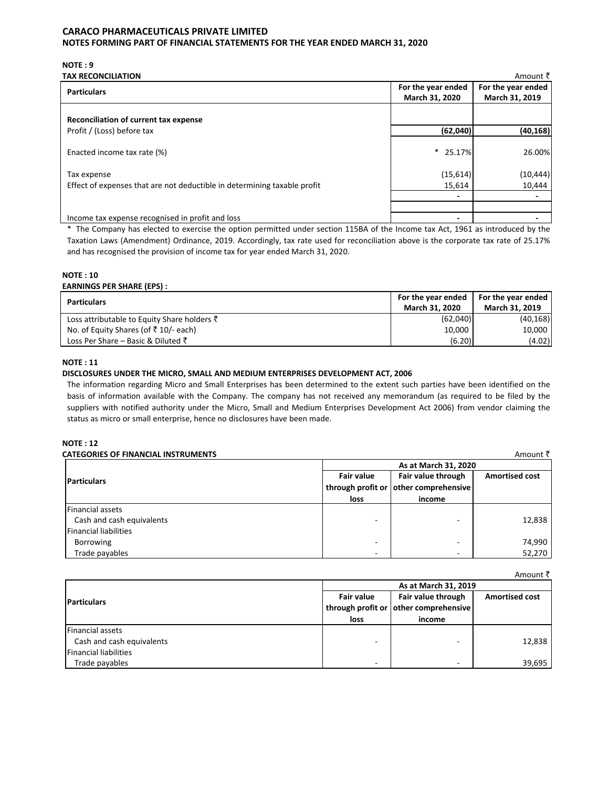NOTE: 9

| <b>TAX RECONCILIATION</b>                                                |                    | Amount ₹           |
|--------------------------------------------------------------------------|--------------------|--------------------|
| <b>Particulars</b>                                                       | For the year ended | For the year ended |
|                                                                          | March 31, 2020     | March 31, 2019     |
| Reconciliation of current tax expense                                    |                    |                    |
| Profit / (Loss) before tax                                               | (62,040)           | (40, 168)          |
| Enacted income tax rate (%)                                              | $*$ 25.17%         | 26.00%             |
| Tax expense                                                              | (15, 614)          | (10, 444)          |
| Effect of expenses that are not deductible in determining taxable profit | 15,614             | 10,444             |
|                                                                          |                    |                    |
|                                                                          |                    |                    |
| Income tax expense recognised in profit and loss                         |                    |                    |

\* The Company has elected to exercise the option permitted under section 115BA of the Income tax Act, 1961 as introduced by the Taxation Laws (Amendment) Ordinance, 2019. Accordingly, tax rate used for reconciliation above is the corporate tax rate of 25.17% and has recognised the provision of income tax for year ended March 31, 2020.

## **NOTE: 10**

## **EARNINGS PER SHARE (EPS):**

| <b>Particulars</b>                                     | For the year ended    | For the year ended |
|--------------------------------------------------------|-----------------------|--------------------|
|                                                        | <b>March 31, 2020</b> | March 31, 2019     |
| Loss attributable to Equity Share holders $\bar{\tau}$ | (62,040)              | (40, 168)          |
| No. of Equity Shares (of $\bar{z}$ 10/- each)          | 10,000                | 10,000             |
| Loss Per Share – Basic & Diluted $\bar{\zeta}$         | (6.20)                | (4.02)             |

## **NOTE: 11**

## DISCLOSURES UNDER THE MICRO, SMALL AND MEDIUM ENTERPRISES DEVELOPMENT ACT, 2006

The information regarding Micro and Small Enterprises has been determined to the extent such parties have been identified on the basis of information available with the Company. The company has not received any memorandum (as required to be filed by the suppliers with notified authority under the Micro, Small and Medium Enterprises Development Act 2006) from vendor claiming the status as micro or small enterprise, hence no disclosures have been made.

## **NOTE: 12**

| <b>CATEGORIES OF FINANCIAL INSTRUMENTS</b> |                          |                                       | Amount ₹              |
|--------------------------------------------|--------------------------|---------------------------------------|-----------------------|
|                                            | As at March 31, 2020     |                                       |                       |
| <b>Particulars</b>                         | <b>Fair value</b>        | Fair value through                    | <b>Amortised cost</b> |
|                                            |                          | through profit or other comprehensive |                       |
|                                            | loss                     | income                                |                       |
| <b>Financial assets</b>                    |                          |                                       |                       |
| Cash and cash equivalents                  |                          | -                                     | 12,838                |
| <b>Financial liabilities</b>               |                          |                                       |                       |
| Borrowing                                  | -                        | $\overline{\phantom{a}}$              | 74,990                |
| Trade payables                             | $\overline{\phantom{a}}$ | $\overline{\phantom{a}}$              | 52,270                |

 $A$ mount  $\bar{z}$ 

|                              |                   | As at March 31, 2019                                        |                       |
|------------------------------|-------------------|-------------------------------------------------------------|-----------------------|
| <b>IParticulars</b>          | <b>Fair value</b> | Fair value through<br>through profit or other comprehensive | <b>Amortised cost</b> |
|                              | loss              | income                                                      |                       |
| <b>Financial assets</b>      |                   |                                                             |                       |
| Cash and cash equivalents    |                   | ۰                                                           | 12,838                |
| <b>Financial liabilities</b> |                   |                                                             |                       |
| Trade payables               |                   | -                                                           | 39,695                |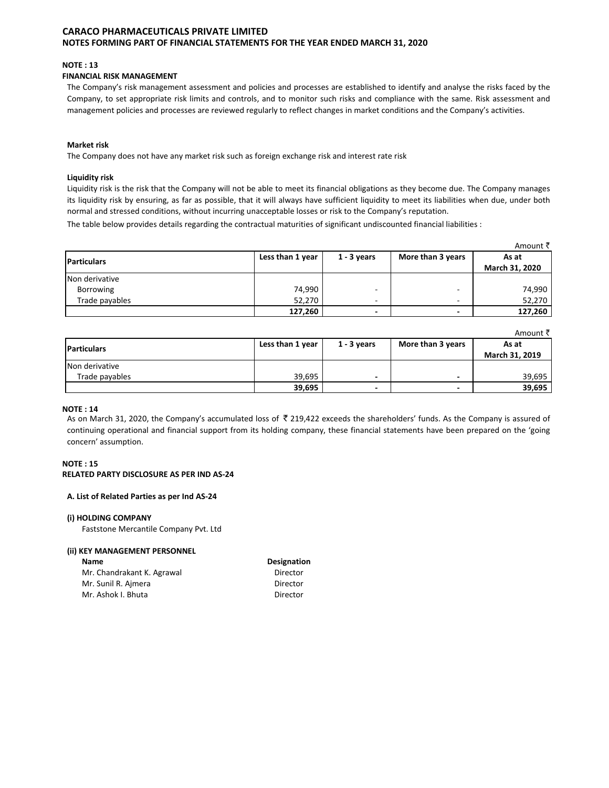### **NOTE: 13**

## **FINANCIAL RISK MANAGEMENT**

The Company's risk management assessment and policies and processes are established to identify and analyse the risks faced by the Company, to set appropriate risk limits and controls, and to monitor such risks and compliance with the same. Risk assessment and management policies and processes are reviewed regularly to reflect changes in market conditions and the Company's activities.

#### **Market risk**

The Company does not have any market risk such as foreign exchange risk and interest rate risk

#### **Liquidity risk**

Liquidity risk is the risk that the Company will not be able to meet its financial obligations as they become due. The Company manages its liquidity risk by ensuring, as far as possible, that it will always have sufficient liquidity to meet its liabilities when due, under both normal and stressed conditions, without incurring unacceptable losses or risk to the Company's reputation.

The table below provides details regarding the contractual maturities of significant undiscounted financial liabilities :

|                    |                  |               |                          | Amount ₹       |
|--------------------|------------------|---------------|--------------------------|----------------|
| <b>Particulars</b> | Less than 1 year | $1 - 3$ years | More than 3 years        | As at          |
|                    |                  |               |                          | March 31, 2020 |
| Non derivative     |                  |               |                          |                |
| Borrowing          | 74,990           |               | $\overline{\phantom{a}}$ | 74,990         |
| Trade payables     | 52,270           | -             | -                        | 52,270         |
|                    | 127,260          |               | $\overline{\phantom{0}}$ | 127,260        |

|                    |                  |                          |                          | Amount ₹       |
|--------------------|------------------|--------------------------|--------------------------|----------------|
| <b>Particulars</b> | Less than 1 year | $1 - 3$ years            | More than 3 years        | As at          |
|                    |                  |                          |                          | March 31, 2019 |
| Non derivative     |                  |                          |                          |                |
| Trade payables     | 39,695           | -                        | $\overline{\phantom{0}}$ | 39,695         |
|                    | 39,695           | $\overline{\phantom{0}}$ | $\overline{\phantom{0}}$ | 39,695         |

#### **NOTE: 14**

As on March 31, 2020, the Company's accumulated loss of ₹ 219,422 exceeds the shareholders' funds. As the Company is assured of continuing operational and financial support from its holding company, these financial statements have been prepared on the 'going concern' assumption.

#### $NOTF \cdot 15$ RELATED PARTY DISCLOSURE AS PER IND AS-24

#### A. List of Related Parties as per Ind AS-24

#### (i) HOLDING COMPANY

Faststone Mercantile Company Pvt. Ltd

#### (ii) KEY MANAGEMENT PERSONNEL

| <b>Name</b>                | Designation |
|----------------------------|-------------|
| Mr. Chandrakant K. Agrawal | Director    |
| Mr. Sunil R. Ajmera        | Director    |
| Mr. Ashok I. Bhuta         | Director    |